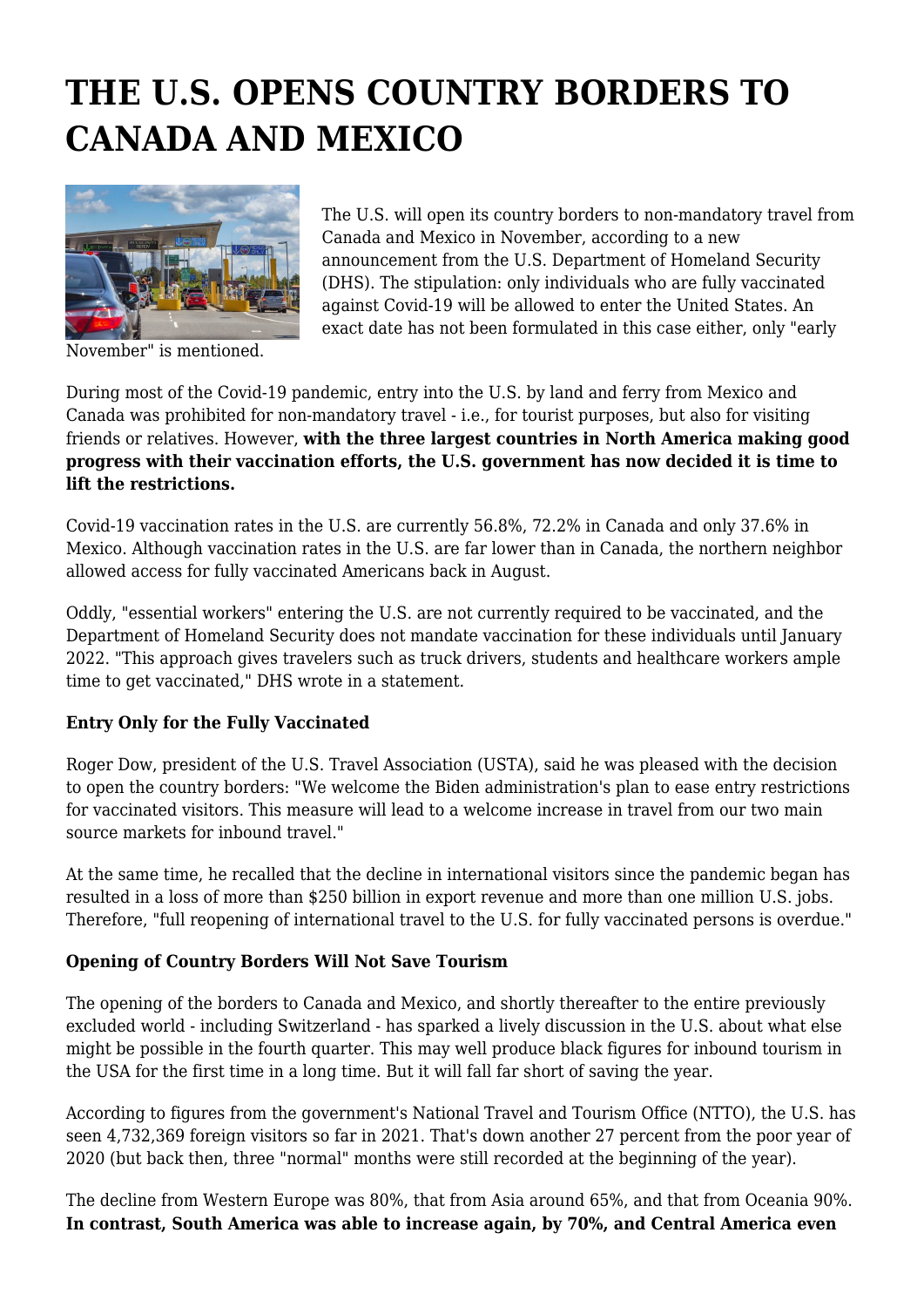## **THE U.S. OPENS COUNTRY BORDERS TO CANADA AND MEXICO**



The U.S. will open its country borders to non-mandatory travel from Canada and Mexico in November, according to a new announcement from the U.S. Department of Homeland Security (DHS). The stipulation: only individuals who are fully vaccinated against Covid-19 will be allowed to enter the United States. An exact date has not been formulated in this case either, only "early

November" is mentioned.

During most of the Covid-19 pandemic, entry into the U.S. by land and ferry from Mexico and Canada was prohibited for non-mandatory travel - i.e., for tourist purposes, but also for visiting friends or relatives. However, **with the three largest countries in North America making good progress with their vaccination efforts, the U.S. government has now decided it is time to lift the restrictions.**

Covid-19 vaccination rates in the U.S. are currently 56.8%, 72.2% in Canada and only 37.6% in Mexico. Although vaccination rates in the U.S. are far lower than in Canada, the northern neighbor allowed access for fully vaccinated Americans back in August.

Oddly, "essential workers" entering the U.S. are not currently required to be vaccinated, and the Department of Homeland Security does not mandate vaccination for these individuals until January 2022. "This approach gives travelers such as truck drivers, students and healthcare workers ample time to get vaccinated," DHS wrote in a statement.

## **Entry Only for the Fully Vaccinated**

Roger Dow, president of the U.S. Travel Association (USTA), said he was pleased with the decision to open the country borders: "We welcome the Biden administration's plan to ease entry restrictions for vaccinated visitors. This measure will lead to a welcome increase in travel from our two main source markets for inbound travel."

At the same time, he recalled that the decline in international visitors since the pandemic began has resulted in a loss of more than \$250 billion in export revenue and more than one million U.S. jobs. Therefore, "full reopening of international travel to the U.S. for fully vaccinated persons is overdue."

## **Opening of Country Borders Will Not Save Tourism**

The opening of the borders to Canada and Mexico, and shortly thereafter to the entire previously excluded world - including Switzerland - has sparked a lively discussion in the U.S. about what else might be possible in the fourth quarter. This may well produce black figures for inbound tourism in the USA for the first time in a long time. But it will fall far short of saving the year.

According to figures from the government's National Travel and Tourism Office (NTTO), the U.S. has seen 4,732,369 foreign visitors so far in 2021. That's down another 27 percent from the poor year of 2020 (but back then, three "normal" months were still recorded at the beginning of the year).

The decline from Western Europe was 80%, that from Asia around 65%, and that from Oceania 90%. **In contrast, South America was able to increase again, by 70%, and Central America even**